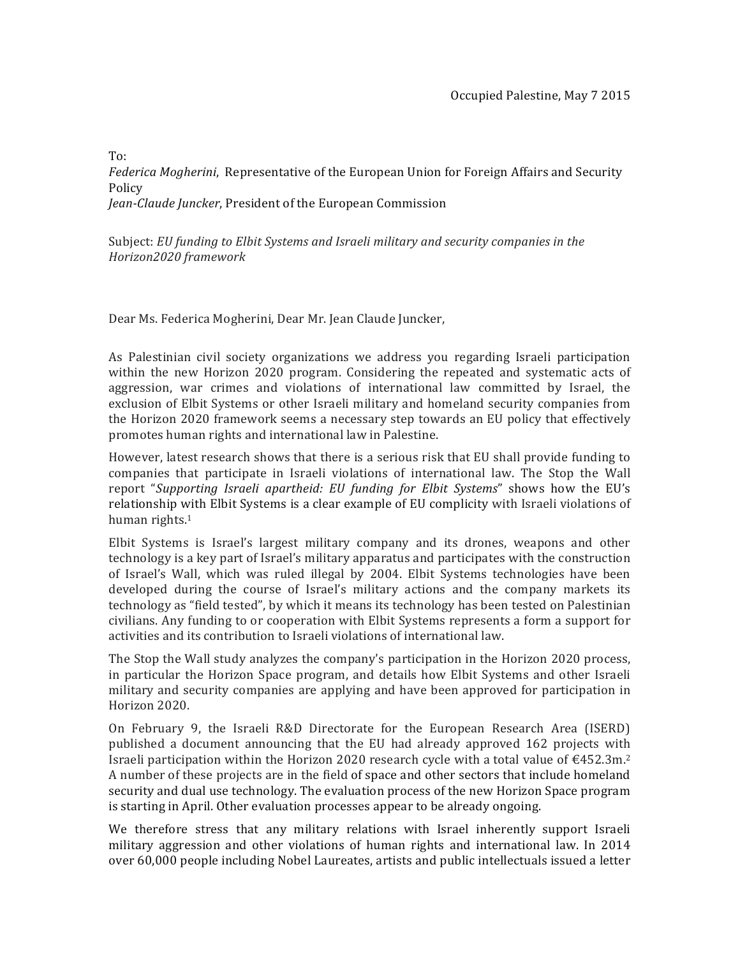$To:$ Federica Mogherini, Representative of the European Union for Foreign Affairs and Security Policy *Jean-Claude Juncker*, President of the European Commission

Subject: *EU funding to Elbit Systems and Israeli military and security companies in the Horizon2020(framework*

Dear Ms. Federica Mogherini, Dear Mr. Jean Claude Juncker,

As Palestinian civil society organizations we address you regarding Israeli participation within the new Horizon 2020 program. Considering the repeated and systematic acts of aggression, war crimes and violations of international law committed by Israel, the exclusion of Elbit Systems or other Israeli military and homeland security companies from the Horizon 2020 framework seems a necessary step towards an EU policy that effectively promotes human rights and international law in Palestine.

However, latest research shows that there is a serious risk that EU shall provide funding to companies that participate in Israeli violations of international law. The Stop the Wall report "Supporting Israeli apartheid: EU funding for Elbit Systems" shows how the EU's relationship with Elbit Systems is a clear example of EU complicity with Israeli violations of human rights. $1$ 

Elbit Systems is Israel's largest military company and its drones, weapons and other technology is a key part of Israel's military apparatus and participates with the construction of Israel's Wall, which was ruled illegal by 2004. Elbit Systems technologies have been developed during the course of Israel's military actions and the company markets its technology as "field tested", by which it means its technology has been tested on Palestinian civilians. Any funding to or cooperation with Elbit Systems represents a form a support for activities and its contribution to Israeli violations of international law.

The Stop the Wall study analyzes the company's participation in the Horizon 2020 process, in particular the Horizon Space program, and details how Elbit Systems and other Israeli military and security companies are applying and have been approved for participation in Horizon 2020.

On February 9, the Israeli R&D Directorate for the European Research Area (ISERD) published a document announcing that the EU had already approved 162 projects with Israeli participation within the Horizon 2020 research cycle with a total value of  $\text{\textsterling}452.3\text{m.}^2$ A number of these projects are in the field of space and other sectors that include homeland security and dual use technology. The evaluation process of the new Horizon Space program is starting in April. Other evaluation processes appear to be already ongoing.

We therefore stress that any military relations with Israel inherently support Israeli military aggression and other violations of human rights and international law. In 2014 over 60,000 people including Nobel Laureates, artists and public intellectuals issued a letter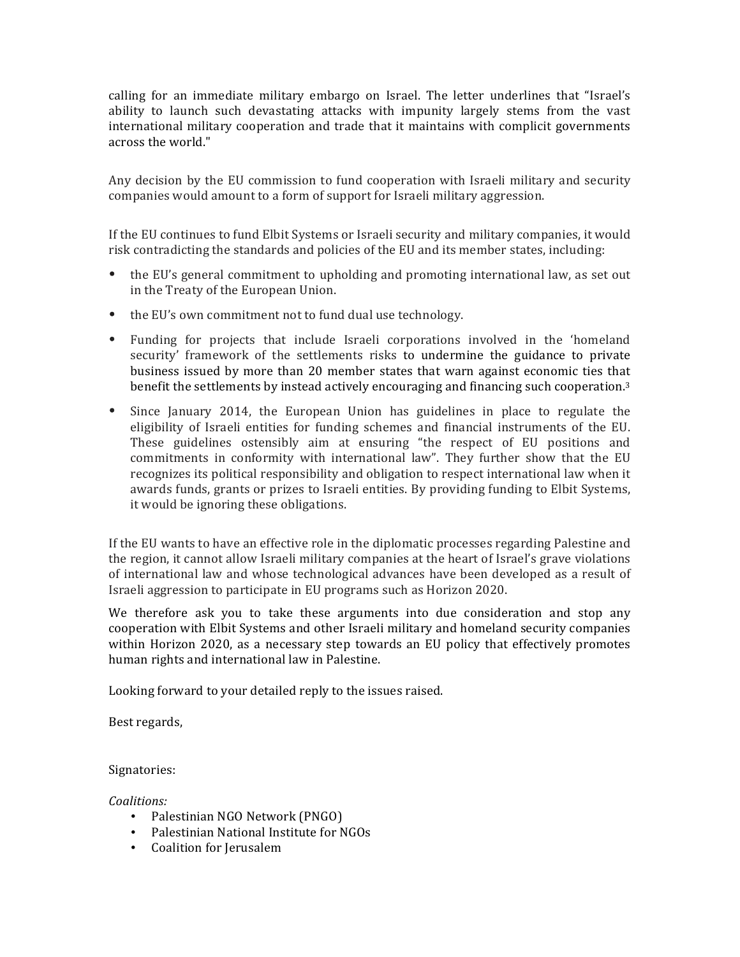calling for an immediate military embargo on Israel. The letter underlines that "Israel's ability to launch such devastating attacks with impunity largely stems from the vast international military cooperation and trade that it maintains with complicit governments across the world."

Any decision by the EU commission to fund cooperation with Israeli military and security companies would amount to a form of support for Israeli military aggression.

If the EU continues to fund Elbit Systems or Israeli security and military companies, it would risk contradicting the standards and policies of the EU and its member states, including:

- the EU's general commitment to upholding and promoting international law, as set out in the Treaty of the European Union.
- $\bullet$  the EU's own commitment not to fund dual use technology.
- Funding for projects that include Israeli corporations involved in the 'homeland security' framework of the settlements risks to undermine the guidance to private business issued by more than 20 member states that warn against economic ties that benefit the settlements by instead actively encouraging and financing such cooperation.<sup>3</sup>
- Since January 2014, the European Union has guidelines in place to regulate the eligibility of Israeli entities for funding schemes and financial instruments of the EU. These guidelines ostensibly aim at ensuring "the respect of EU positions and commitments in conformity with international law". They further show that the EU recognizes its political responsibility and obligation to respect international law when it awards funds, grants or prizes to Israeli entities. By providing funding to Elbit Systems, it would be ignoring these obligations.

If the EU wants to have an effective role in the diplomatic processes regarding Palestine and the region, it cannot allow Israeli military companies at the heart of Israel's grave violations of international law and whose technological advances have been developed as a result of Israeli aggression to participate in EU programs such as Horizon 2020.

We therefore ask you to take these arguments into due consideration and stop any cooperation with Elbit Systems and other Israeli military and homeland security companies within Horizon 2020, as a necessary step towards an EU policy that effectively promotes human rights and international law in Palestine.

Looking forward to your detailed reply to the issues raised.

Best regards,

Signatories:

*Coalitions:*

- Palestinian NGO Network (PNGO)
- Palestinian National Institute for NGOs
- Coalition for Jerusalem